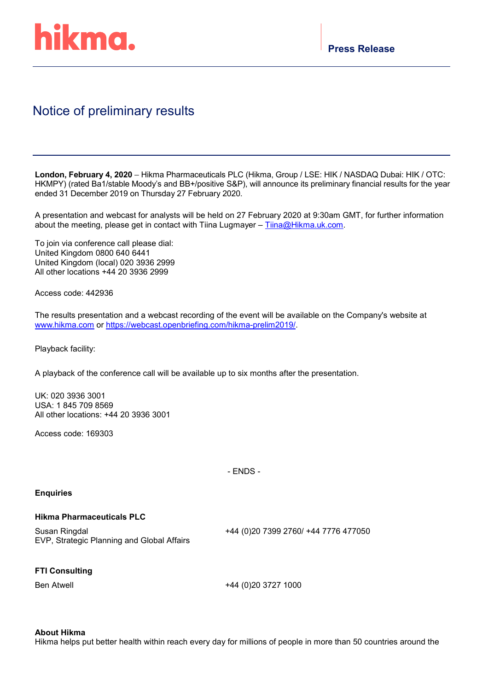

## Notice of preliminary results

**London, February 4, 2020** – Hikma Pharmaceuticals PLC (Hikma, Group / LSE: HIK / NASDAQ Dubai: HIK / OTC: HKMPY) (rated Ba1/stable Moody's and BB+/positive S&P), will announce its preliminary financial results for the year ended 31 December 2019 on Thursday 27 February 2020.

A presentation and webcast for analysts will be held on 27 February 2020 at 9:30am GMT, for further information about the meeting, please get in contact with Tiina Lugmayer - [Tiina@Hikma.uk.com.](mailto:Tiina@Hikma.uk.com)

To join via conference call please dial: United Kingdom 0800 640 6441 United Kingdom (local) 020 3936 2999 All other locations +44 20 3936 2999

Access code: 442936

The results presentation and a webcast recording of the event will be available on the Company's website at [www.hikma.com](http://www.hikma.com/) or [https://webcast.openbriefing.com/hikma-prelim2019/.](https://nam04.safelinks.protection.outlook.com/?url=https%3A%2F%2Fwebcast.openbriefing.com%2Fhikma-prelim2019%2F&data=02%7C01%7CLayan%40Hikma.com%7C911325c64ced4f1cbf3408d7a679e2e4%7C178c1a723d3c40afbaa754615303bcdc%7C0%7C0%7C637160915150839656&sdata=lLe5bSs%2BA6Ff8sFFLsktFps5SM78Uapmxz64ynlEnRw%3D&reserved=0)

Playback facility:

A playback of the conference call will be available up to six months after the presentation.

UK: 020 3936 3001 USA: 1 845 709 8569 All other locations: +44 20 3936 3001

Access code: 169303

- ENDS -

## **Enquiries**

## **Hikma Pharmaceuticals PLC**

Susan Ringdal EVP, Strategic Planning and Global Affairs +44 (0)20 7399 2760/ +44 7776 477050

## **FTI Consulting**

Ben Atwell +44 (0)20 3727 1000